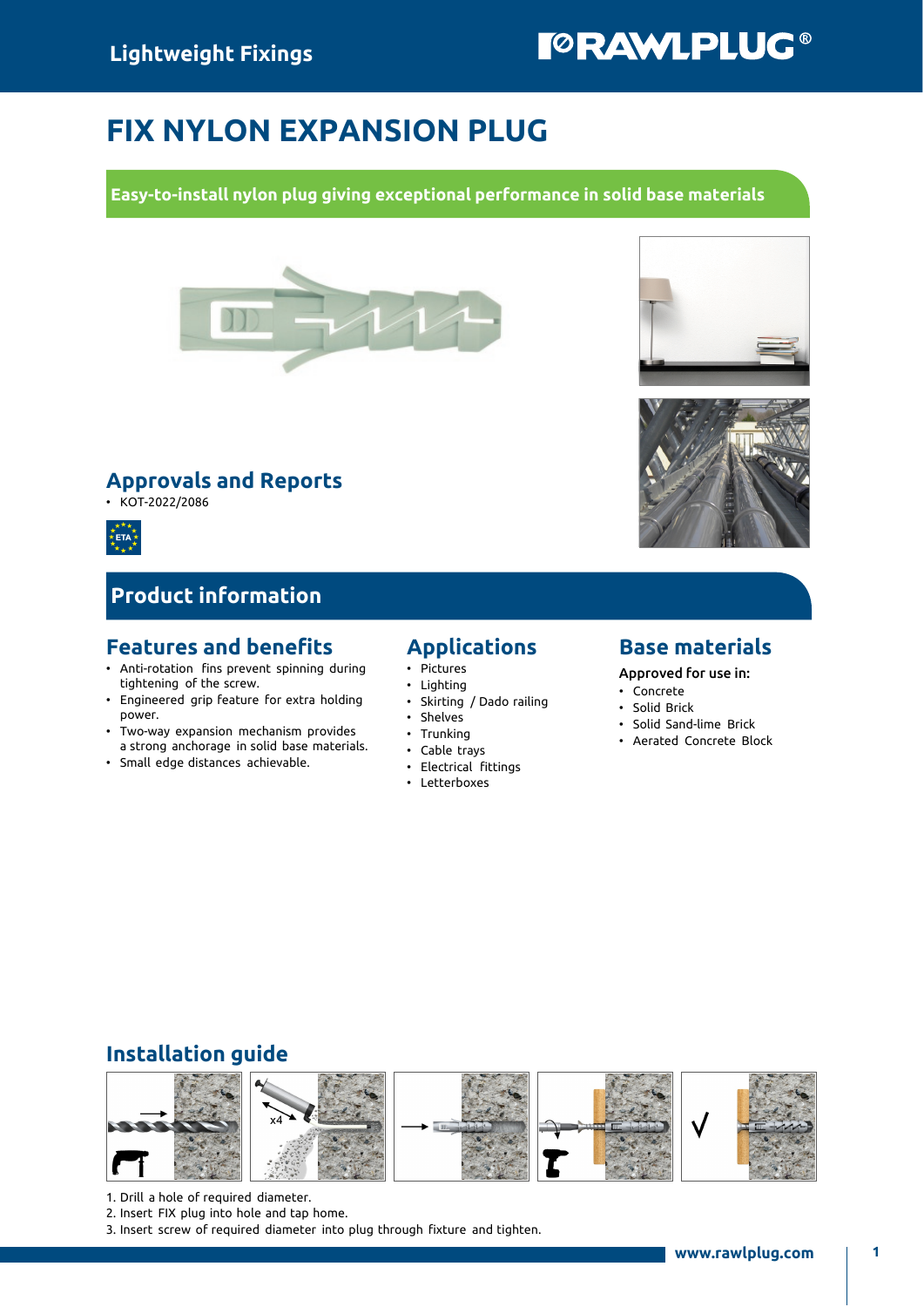# FIX NYLON EXPANSION PLUG

Easy-to-install nylon plug giving exceptional performance in solid base materials



#### Approvals and Reports

• KOT-2022/2086



## Product information

#### Features and benefits

- Anti-rotation fins prevent spinning during tightening of the screw.
- Engineered grip feature for extra holding power.
- Two-way expansion mechanism provides a strong anchorage in solid base materials.
- Small edge distances achievable.

#### Applications

- Pictures
- Lighting
- Skirting / Dado railing
- Shelves
- Trunking
- Cable trays
- Electrical fittings
- Letterboxes

#### Base materials

Approved for use in:

- Concrete
- Solid Brick
- Solid Sand-lime Brick
- Aerated Concrete Block

#### Installation guide



- 1. Drill a hole of required diameter.
- 2. Insert FIX plug into hole and tap home.
- 3. Insert screw of required diameter into plug through fixture and tighten.





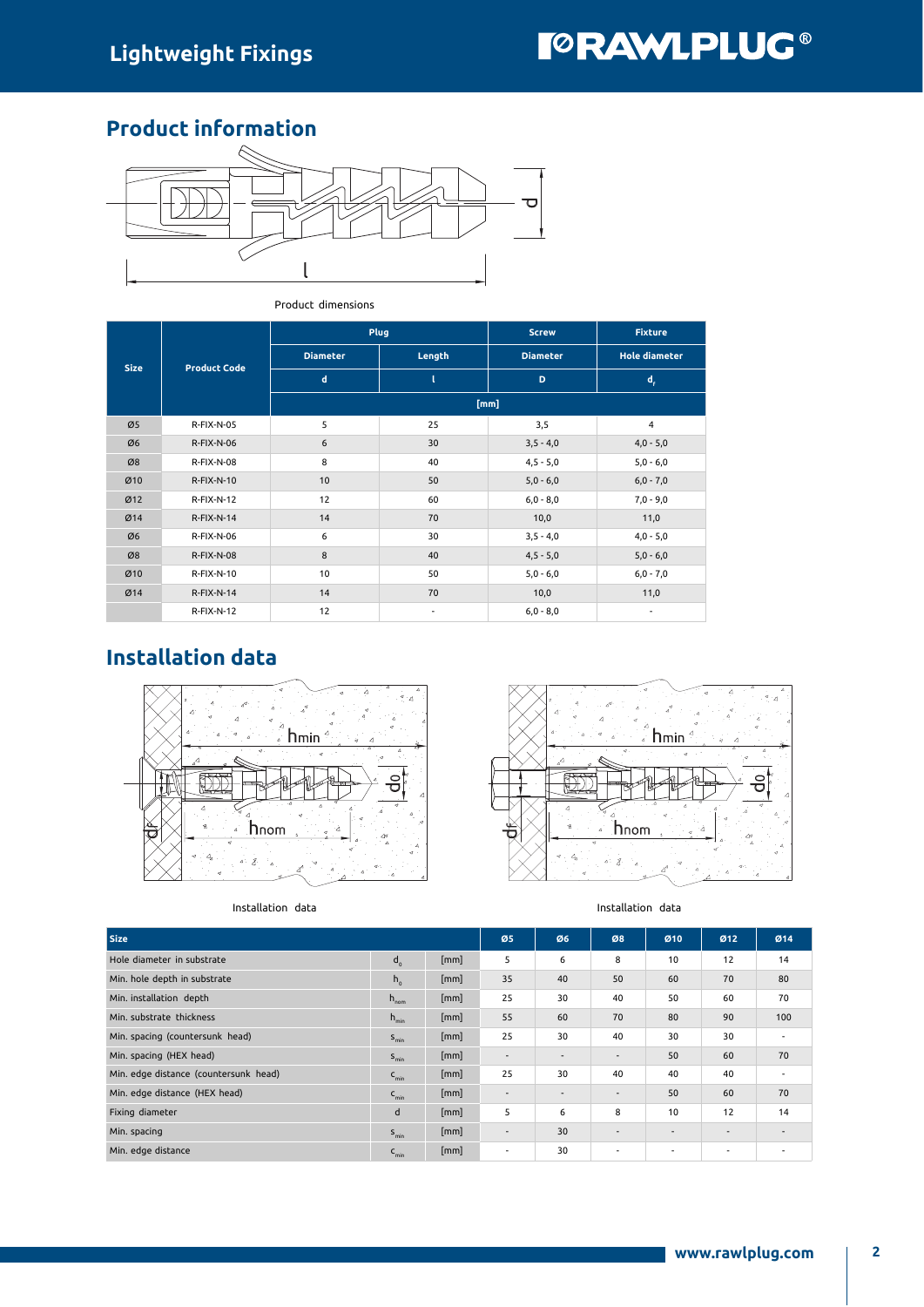### Product information



#### Product dimensions

| <b>Size</b> | <b>Product Code</b> |                  | Plug                     | <b>Screw</b>    | <b>Fixture</b>       |  |
|-------------|---------------------|------------------|--------------------------|-----------------|----------------------|--|
|             |                     | <b>Diameter</b>  | Length                   | <b>Diameter</b> | <b>Hole diameter</b> |  |
|             |                     | $\mathbf d$<br>D |                          | $d_{\epsilon}$  |                      |  |
|             |                     | [mm]             |                          |                 |                      |  |
| Ø5          | <b>R-FIX-N-05</b>   | 5                | 25                       | 3,5             | $\overline{4}$       |  |
| Ø6          | <b>R-FIX-N-06</b>   | 6                | 30                       | $3,5 - 4,0$     | $4,0 - 5,0$          |  |
| Ø8          | R-FIX-N-08          | 8                | 40                       | $4,5 - 5,0$     | $5,0 - 6,0$          |  |
| Ø10         | R-FIX-N-10          | 10               | 50                       | $5,0 - 6,0$     | $6,0 - 7,0$          |  |
| Ø12         | $R-FIX-N-12$        | 12               | 60                       | $6,0 - 8,0$     | $7,0 - 9,0$          |  |
| Ø14         | $R-FIX-N-14$        | 14               | 70                       | 10,0            | 11,0                 |  |
| Ø6          | R-FIX-N-06          | 6                | 30                       | $3,5 - 4,0$     | $4,0 - 5,0$          |  |
| Ø8          | R-FIX-N-08          | 8                | 40                       | $4,5 - 5,0$     | $5,0 - 6,0$          |  |
| Ø10         | R-FIX-N-10          | 10               | 50                       | $5,0 - 6,0$     | $6,0 - 7,0$          |  |
| Ø14         | $R-FIX-N-14$        | 14               | 70                       | 10,0            | 11,0                 |  |
|             | R-FIX-N-12          | 12               | $\overline{\phantom{a}}$ | $6,0 - 8,0$     |                      |  |

# Installation data







| <b>Size</b>                           |                  |      | Ø5                       | Ø6     | Ø8                       | Ø <sub>10</sub> | Ø <sub>12</sub>          | Ø14                      |
|---------------------------------------|------------------|------|--------------------------|--------|--------------------------|-----------------|--------------------------|--------------------------|
| Hole diameter in substrate            | $d_{0}$          | [mm] | 5                        | 6      | 8                        | 10              | 12                       | 14                       |
| Min. hole depth in substrate          | $h_{0}$          | [mm] | 35                       | 40     | 50                       | 60              | 70                       | 80                       |
| Min. installation depth               | $h_{\text{nom}}$ | [mm] | 25                       | 30     | 40                       | 50              | 60                       | 70                       |
| Min. substrate thickness              | $h_{\min}$       | [mm] | 55                       | 60     | 70                       | 80              | 90                       | 100                      |
| Min. spacing (countersunk head)       | $S_{\text{min}}$ | [mm] | 25                       | 30     | 40                       | 30              | 30                       | $\overline{\phantom{a}}$ |
| Min. spacing (HEX head)               | $S_{\text{min}}$ | [mm] | $\sim$                   | $\sim$ | $\overline{\phantom{a}}$ | 50              | 60                       | 70                       |
| Min. edge distance (countersunk head) | $C_{\text{min}}$ | [mm] | 25                       | 30     | 40                       | 40              | 40                       | $\overline{\phantom{a}}$ |
| Min. edge distance (HEX head)         | $C_{\text{min}}$ | [mm] | $\sim$                   | $\sim$ | $\overline{\phantom{a}}$ | 50              | 60                       | 70                       |
| Fixing diameter                       | d                | [mm] | 5                        | 6      | 8                        | 10              | 12                       | 14                       |
| Min. spacing                          | $S_{\text{min}}$ | [mm] | $\overline{\phantom{a}}$ | 30     | $\overline{\phantom{a}}$ | $\sim$          | $\overline{\phantom{a}}$ | $\overline{\phantom{a}}$ |
| Min. edge distance                    | $C_{min}$        | [mm] | $\blacksquare$           | 30     |                          |                 |                          |                          |